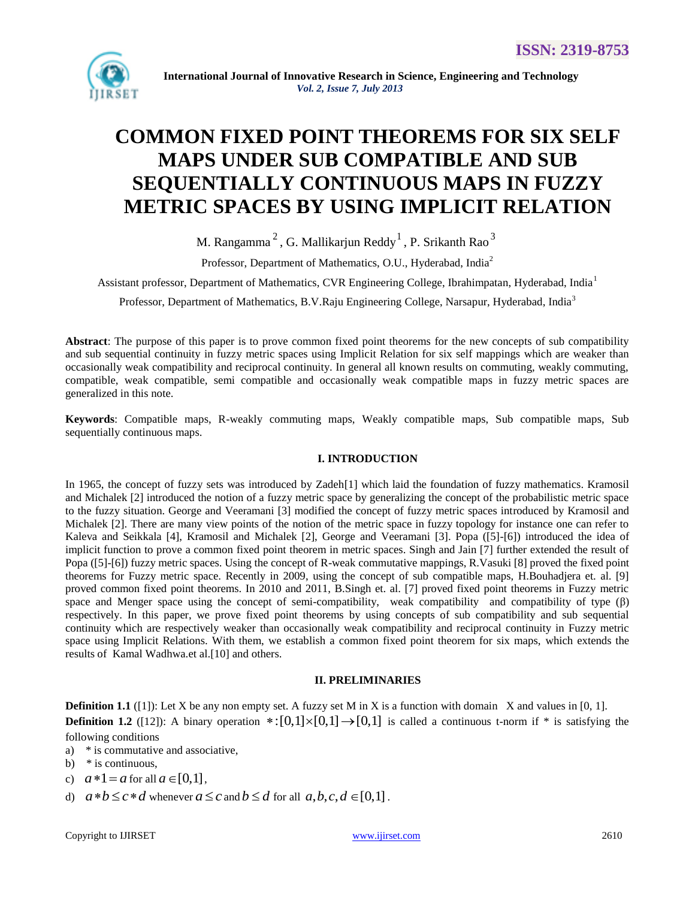

# **COMMON FIXED POINT THEOREMS FOR SIX SELF MAPS UNDER SUB COMPATIBLE AND SUB SEQUENTIALLY CONTINUOUS MAPS IN FUZZY METRIC SPACES BY USING IMPLICIT RELATION**

M. Rangamma $^2$ , G. Mallikarjun Reddy $^1$ , P. Srikanth Rao $^3$ 

Professor, Department of Mathematics, O.U., Hyderabad, India<sup>2</sup>

Assistant professor, Department of Mathematics, CVR Engineering College, Ibrahimpatan, Hyderabad, India<sup>1</sup>

Professor, Department of Mathematics, B.V.Raju Engineering College, Narsapur, Hyderabad, India<sup>3</sup>

**Abstract**: The purpose of this paper is to prove common fixed point theorems for the new concepts of sub compatibility and sub sequential continuity in fuzzy metric spaces using Implicit Relation for six self mappings which are weaker than occasionally weak compatibility and reciprocal continuity. In general all known results on commuting, weakly commuting, compatible, weak compatible, semi compatible and occasionally weak compatible maps in fuzzy metric spaces are generalized in this note.

**Keywords**: Compatible maps, R-weakly commuting maps, Weakly compatible maps, Sub compatible maps, Sub sequentially continuous maps.

## **I. INTRODUCTION**

In 1965, the concept of fuzzy sets was introduced by Zadeh[1] which laid the foundation of fuzzy mathematics. Kramosil and Michalek [2] introduced the notion of a fuzzy metric space by generalizing the concept of the probabilistic metric space to the fuzzy situation. George and Veeramani [3] modified the concept of fuzzy metric spaces introduced by Kramosil and Michalek [2]. There are many view points of the notion of the metric space in fuzzy topology for instance one can refer to Kaleva and Seikkala [4], Kramosil and Michalek [2], George and Veeramani [3]. Popa ([5]-[6]) introduced the idea of implicit function to prove a common fixed point theorem in metric spaces. Singh and Jain [7] further extended the result of Popa ([5]-[6]) fuzzy metric spaces. Using the concept of R-weak commutative mappings, R.Vasuki [8] proved the fixed point theorems for Fuzzy metric space. Recently in 2009, using the concept of sub compatible maps, H.Bouhadjera et. al. [9] proved common fixed point theorems. In 2010 and 2011, B.Singh et. al. [7] proved fixed point theorems in Fuzzy metric space and Menger space using the concept of semi-compatibility, weak compatibility and compatibility of type (β) respectively. In this paper, we prove fixed point theorems by using concepts of sub compatibility and sub sequential continuity which are respectively weaker than occasionally weak compatibility and reciprocal continuity in Fuzzy metric space using Implicit Relations. With them, we establish a common fixed point theorem for six maps, which extends the results of Kamal Wadhwa.et al.[10] and others.

## **II. PRELIMINARIES**

**Definition 1.1** ([1]): Let X be any non empty set. A fuzzy set M in X is a function with domain X and values in [0, 1]. **Definition 1.2** ([12]): A binary operation  $\cdot$ :  $[0,1] \times [0,1] \rightarrow [0,1]$  is called a continuous t-norm if  $\cdot$  is satisfying the following conditions

- a) \* is commutative and associative,
- b)  $*$  is continuous.
- c)  $a * 1 = a$  for all  $a \in [0,1]$ ,
- d)  $a * b \leq c * d$  whenever  $a \leq c$  and  $b \leq d$  for all  $a, b, c, d \in [0,1]$ .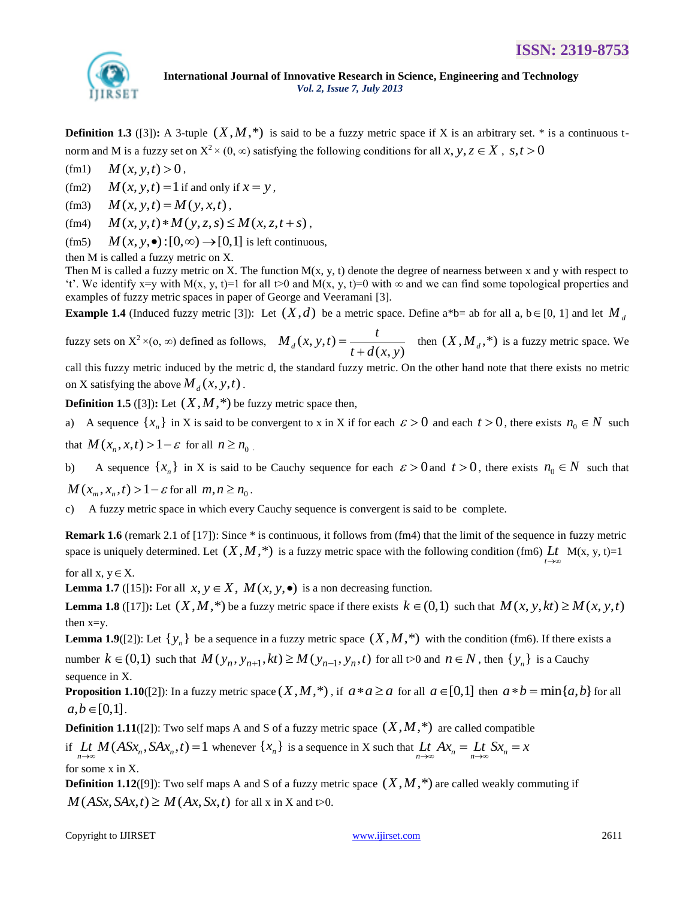

**Definition 1.3** ([3]): A 3-tuple  $(X, M, *)$  is said to be a fuzzy metric space if X is an arbitrary set.  $*$  is a continuous tnorm and M is a fuzzy set on  $X^2 \times (0, \infty)$  satisfying the following conditions for all x, y,  $z \in X$ , s,  $t > 0$ 

 $(fm1)$  $M(x, y, t) > 0$ ,

(fm2)  $M(x, y, t) = 1$  if and only if  $x = y$ ,

(fm3)  $M(x, y, t) = M(y, x, t)$ ,

(fm4)  $M(x, y, t) * M(y, z, s) \leq M(x, z, t + s)$ ,

 $(fm5)$  $M(x, y, \bullet): [0, \infty) \to [0,1]$  is left continuous,

then M is called a fuzzy metric on X.

Then M is called a fuzzy metric on X. The function  $M(x, y, t)$  denote the degree of nearness between x and y with respect to "t". We identify x=y with M(x, y, t)=1 for all t>0 and M(x, y, t)=0 with  $\infty$  and we can find some topological properties and examples of fuzzy metric spaces in paper of George and Veeramani [3].

**Example 1.4** (Induced fuzzy metric [3]): Let  $(X,d)$  be a metric space. Define a\*b= ab for all a, b  $\in$  [0, 1] and let  $M_d$ 

fuzzy sets on  $X^2 \times (0, \infty)$  defined as follows,  $M_d(x, y, t)$  $_{d}(x, y, t) = \frac{}{t + d(x, y)}$  $M_d(x, y, t) = \frac{t}{(x - 1)^2}$  $=\frac{t}{t+d(x,y)}$  $\frac{d}{dx} + d(x, y)$  then  $(X, M_d, *)$  is a fuzzy metric space. We

call this fuzzy metric induced by the metric d, the standard fuzzy metric. On the other hand note that there exists no metric on X satisfying the above  $M_d(x, y, t)$ .

**Definition 1.5** ([3]): Let  $(X, M, *)$  be fuzzy metric space then,

a) A sequence  $\{x_n\}$  in X is said to be convergent to x in X if for each  $\varepsilon > 0$  and each  $t > 0$ , there exists  $n_0 \in N$  such

that  $M(x_n, x, t) > 1 - \varepsilon$  for all  $n \ge n_0$ .

b) A sequence  $\{x_n\}$  in X is said to be Cauchy sequence for each  $\varepsilon > 0$  and  $t > 0$ , there exists  $n_0 \in N$  such that

 $M(x_m, x_n, t) > 1 - \varepsilon$  for all  $m, n \ge n_0$ .

c) A fuzzy metric space in which every Cauchy sequence is convergent is said to be complete.

**Remark 1.6** (remark 2.1 of [17]): Since \* is continuous, it follows from (fm4) that the limit of the sequence in fuzzy metric space is uniquely determined. Let  $(X, M, *)$  is a fuzzy metric space with the following condition (fm6) Lt M(x, y, t)=1 *t* →∞

for all  $x, y \in X$ .

**Lemma 1.7** ([15]): For all  $x, y \in X$ ,  $M(x, y, \bullet)$  is a non decreasing function.

**Lemma 1.8** ([17]): Let  $(X, M, ^{*})$  be a fuzzy metric space if there exists  $k \in (0,1)$  such that  $M(x, y, kt) \ge M(x, y, t)$ then x=y.

**Lemma 1.9**([2]): Let  $\{y_n\}$  be a sequence in a fuzzy metric space  $(X, M, *)$  with the condition (fm6). If there exists a **Example 1.9.** Let  $\{y_n\}$  be a sequence in a ruzzy metric space  $(X, M, \cdot)$  with the condition (find). If there exists number  $k \in (0,1)$  such that  $M(y_n, y_{n+1}, kt) \geq M(y_{n-1}, y_n, t)$  for all t>0 and  $n \in N$ , then  $\{y_n\}$  is a C sequence in X.

**Proposition 1.10**([2]): In a fuzzy metric space  $(X, M, *)$ , if  $a * a \ge a$  for all  $a \in [0,1]$  then  $a * b = \min\{a, b\}$  for all  $a, b \in [0,1]$ .

**Definition 1.11**([2]): Two self maps A and S of a fuzzy metric space  $(X, M, *)$  are called compatible

if  $\lim_{n\to\infty} M(ASx_n, SAx_n, t) = 1$  whenever  $\{x_n\}$  is a sequence in X such that  $\lim_{n\to\infty} Ax_n = \lim_{n\to\infty} Sx_n = x$ for some x in X.

**Definition 1.12**([9]): Two self maps A and S of a fuzzy metric space  $(X, M, *)$  are called weakly commuting if  $M(ASx, SAx, t) \ge M(Ax, Sx, t)$  for all x in X and t>0.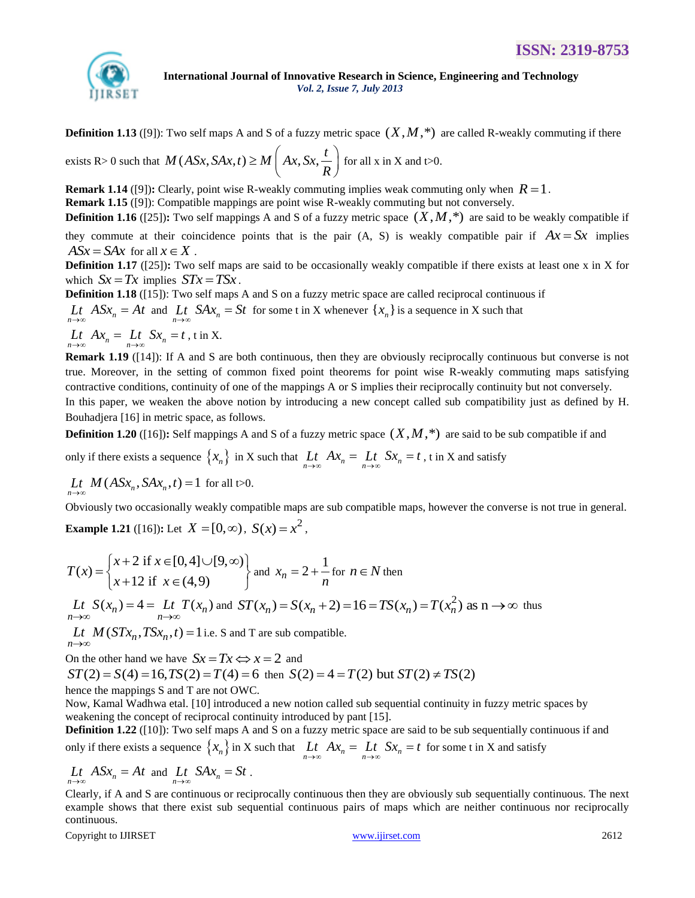

**Definition 1.13** ([9]): Two self maps A and S of a fuzzy metric space  $(X, M, *)$  are called R-weakly commuting if there

**Exists R**> 0 such that  $M(ASx, SAx, t) \ge M\left( Ax, Sx, \frac{t}{R} \right)$  for a for all  $x$  in  $X$  and  $t>0$ .

**Remark 1.14** ([9]): Clearly, point wise R-weakly commuting implies weak commuting only when  $R = 1$ .

**Remark 1.15** ([9]): Compatible mappings are point wise R-weakly commuting but not conversely.

**Definition 1.16** ([25]): Two self mappings A and S of a fuzzy metric space  $(X, M, *)$  are said to be weakly compatible if

they commute at their coincidence points that is the pair  $(A, S)$  is weakly compatible pair if  $Ax = Sx$  implies  $A S x = S A x$  for all  $x \in X$ .

**Definition 1.17** ([25]): Two self maps are said to be occasionally weakly compatible if there exists at least one x in X for which  $Sx = Tx$  implies  $STx = TSx$ .

**Definition 1.18** ([15]): Two self maps A and S on a fuzzy metric space are called reciprocal continuous if  $L_t$   $ASx_n = At$  and  $L_t$   $SAx_n = St$  for some t in X whenever  $\{x_n\}$  is a sequence in X such that

 $\lim_{n \to \infty} Ax_n = \lim_{n \to \infty} Sx_n = t$ , t in X.

**Remark 1.19** ([14]): If A and S are both continuous, then they are obviously reciprocally continuous but converse is not true. Moreover, in the setting of common fixed point theorems for point wise R-weakly commuting maps satisfying contractive conditions, continuity of one of the mappings A or S implies their reciprocally continuity but not conversely. In this paper, we weaken the above notion by introducing a new concept called sub compatibility just as defined by H. Bouhadjera [16] in metric space, as follows.

**Definition 1.20** ([16]): Self mappings A and S of a fuzzy metric space  $(X, M, *)$  are said to be sub compatible if and

only if there exists a sequence  $\{x_n\}$  in X such that  $\lim_{n\to\infty} Ax_n = \lim_{n\to\infty} Sx_n = t$ , t in X and satisfy

 $\lim_{n\to\infty} M(ASx_n, SAx_n, t) = 1$  for all t>0.

Obviously two occasionally weakly compatible maps are sub compatible maps, however the converse is not true in general.

**Example 1.21** ([16]): Let  $X = [0, \infty)$ ,  $S(x) = x^2$ ,

$$
T(x) = \begin{cases} x+2 \text{ if } x \in [0,4] \cup [9,\infty) \\ x+12 \text{ if } x \in (4,9) \end{cases} \text{ and } x_n = 2 + \frac{1}{n} \text{ for } n \in N \text{ then}
$$
  
\n
$$
\underset{n \to \infty}{L} \underset{n \to \infty}{L} S(x_n) = 4 = \underset{n \to \infty}{L} \underset{n \to \infty}{L} T(x_n) \text{ and } ST(x_n) = S(x_n + 2) = 16 = TS(x_n) = T(x_n^2) \text{ as } n \to \infty \text{ thus}
$$

 $\lim_{t \to \infty} M(STx_n, TSx_n, t) = 1$  i.e. S and T are sub compatible. n→∞

On the other hand we have  $Sx = Tx \Longleftrightarrow x = 2$  and

*ST* (2) =  $S(4) = 16, TS(2) = T(4) = 6$  then  $S(2) = 4 = T(2)$  but  $ST(2) \neq TS(2)$ 

hence the mappings S and T are not OWC.

Now, Kamal Wadhwa etal. [10] introduced a new notion called sub sequential continuity in fuzzy metric spaces by weakening the concept of reciprocal continuity introduced by pant [15].

**Definition 1.22** ([10]): Two self maps A and S on a fuzzy metric space are said to be sub sequentially continuous if and only if there exists a sequence  $\{x_n\}$  in X such that  $\lim_{n\to\infty} Ax_n = \lim_{n\to\infty} Sx_n = t$  for some t in X and satisfy

$$
Lt
$$
 ASx<sub>n</sub> = At and  $Lt$  SAx<sub>n</sub> = St.

Clearly, if A and S are continuous or reciprocally continuous then they are obviously sub sequentially continuous. The next example shows that there exist sub sequential continuous pairs of maps which are neither continuous nor reciprocally continuous.

Copyright to IJIRSET 2612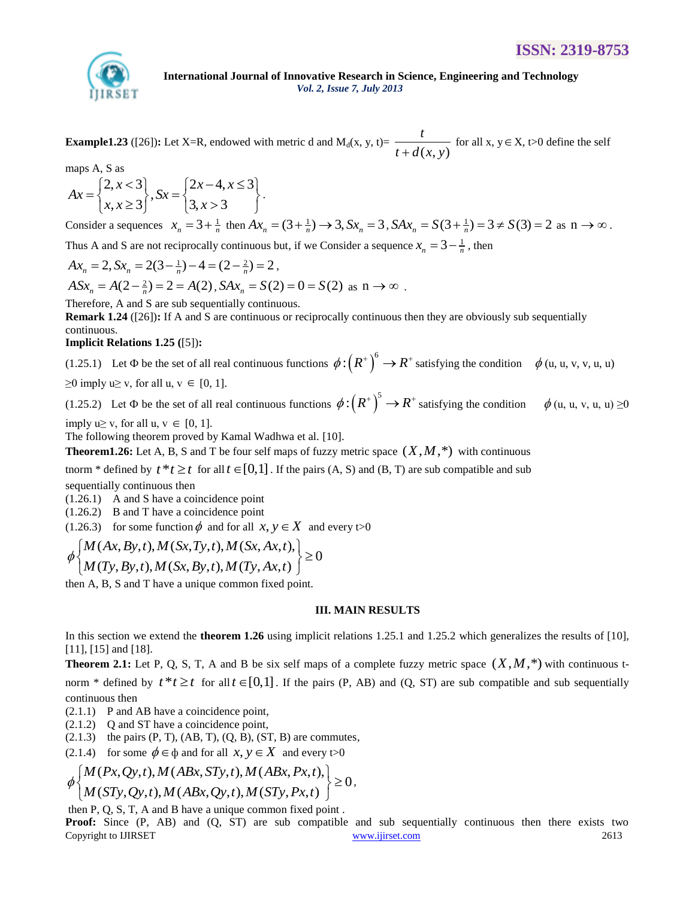

**Example1.23** ([26]): Let X=R, endowed with metric d and  $M_d(x, y, t) = \frac{1}{t + d(x, y)}$ *t*  $\frac{d}{dt}$  for all x,  $y \in X$ ,  $t > 0$  define the self

maps A, S as

maps A, S as  
\n
$$
Ax = \begin{cases} 2, x < 3 \\ x, x \ge 3 \end{cases}
$$
,  $Sx = \begin{cases} 2x - 4, x \le 3 \\ 3, x > 3 \end{cases}$ .

Consider a sequences  $x_n = 3 + \frac{1}{n}$  then  $Ax_n = (3 + \frac{1}{n}) \rightarrow 3$ ,  $Sx_n = 3$ ,  $SAx_n = S(3 + \frac{1}{n}) = 3 \neq S(3) = 2$  as  $n \rightarrow \infty$ .

Thus A and S are not reciprocally continuous but, if we Consider a sequence  $x_n = 3 - \frac{1}{n}$ , then  $Ax_n = 2$ ,  $Sx_n = 2(3 - \frac{1}{n}) - 4 = (2 - \frac{2}{n}) = 2$ ,

$$
Ax_n = 2, Sx_n = 2(3 - \frac{1}{n}) - 4 = (2 - \frac{2}{n}) = 2,
$$

 $ASx_n = A(2-\frac{2}{n}) = 2 = A(2), SAx_n = S(2) = 0 = S(2) \text{ as } n \to \infty.$ 

Therefore, A and S are sub sequentially continuous.

**Remark 1.24** ([26])**:** If A and S are continuous or reciprocally continuous then they are obviously sub sequentially continuous.

## **Implicit Relations 1.25 (**[5])**:**

(1.25.1) Let  $\Phi$  be the set of all real continuous functions  $\phi: (R^+)^6 \to R^+$  satisfying the condition  $\phi$  (u, u, v, v, u, u)

 $\geq 0$  imply u $\geq v$ , for all u,  $v \in [0, 1]$ .

(1.25.2) Let  $\Phi$  be the set of all real continuous functions  $\phi: (R^*)^5 \to R^*$  satisfying the condition  $\phi$  (u, u, v, u, u)  $\geq 0$ 

imply  $u \ge v$ , for all  $u, v \in [0, 1]$ .

The following theorem proved by Kamal Wadhwa et al. [10].

**Theorem1.26:** Let A, B, S and T be four self maps of fuzzy metric space  $(X, M, *)$  with continuous

tnorm  $*$  defined by  $t * t \geq t$  for all  $t \in [0,1]$ . If the pairs  $(A, S)$  and  $(B, T)$  are sub compatible and sub

sequentially continuous then

(1.26.1) A and S have a coincidence point

(1.26.2) B and T have a coincidence point

(1.26.3) for some function 
$$
\phi
$$
 and for all  $x, y \in X$  and every  $\models 0$   
\n
$$
\phi \begin{cases}\nM(Ax, By, t), M(Sx, Ty, t), M(Sx, Ax, t), \\
M(Ty, By, t), M(Sx, By, t), M(Ty, Ax, t)\n\end{cases} \ge 0
$$

then A, B, S and T have a unique common fixed point.

#### **III. MAIN RESULTS**

In this section we extend the **theorem 1.26** using implicit relations 1.25.1 and 1.25.2 which generalizes the results of [10], [11], [15] and [18].

**Theorem 2.1:** Let P, Q, S, T, A and B be six self maps of a complete fuzzy metric space  $(X, M, *)$  with continuous tnorm \* defined by  $t * t \geq t$  for all  $t \in [0,1]$ . If the pairs (P, AB) and (Q, ST) are sub compatible and sub sequentially continuous then

- (2.1.1) P and AB have a coincidence point,
- (2.1.2) Q and ST have a coincidence point,
- $(2.1.3)$  the pairs  $(P, T)$ ,  $(AB, T)$ ,  $(Q, B)$ ,  $(ST, B)$  are commutes,

(2.1.4) for some  $\phi \in \phi$  and for all  $x, y \in X$  and every t > 0

(2.1.3) the pairs (P, 1), (AB, 1), (Q, B), (S1, B) are commutes,  
\n(2.1.4) for some 
$$
\phi \in \phi
$$
 and for all  $x, y \in X$  and every  $\infty$ 0  
\n
$$
\phi \begin{cases}\nM(Px, Qy, t), M(ABx, STy, t), M(ABx, Px, t), \\
M(STy, Qy, t), M(ABx, Qy, t), M(STy, Px, t)\n\end{cases} \ge 0,
$$

then P, Q, S, T, A and B have a unique common fixed point .

Copyright to IJIRSET 2613 **Proof:** Since (P, AB) and (Q, ST) are sub compatible and sub sequentially continuous then there exists two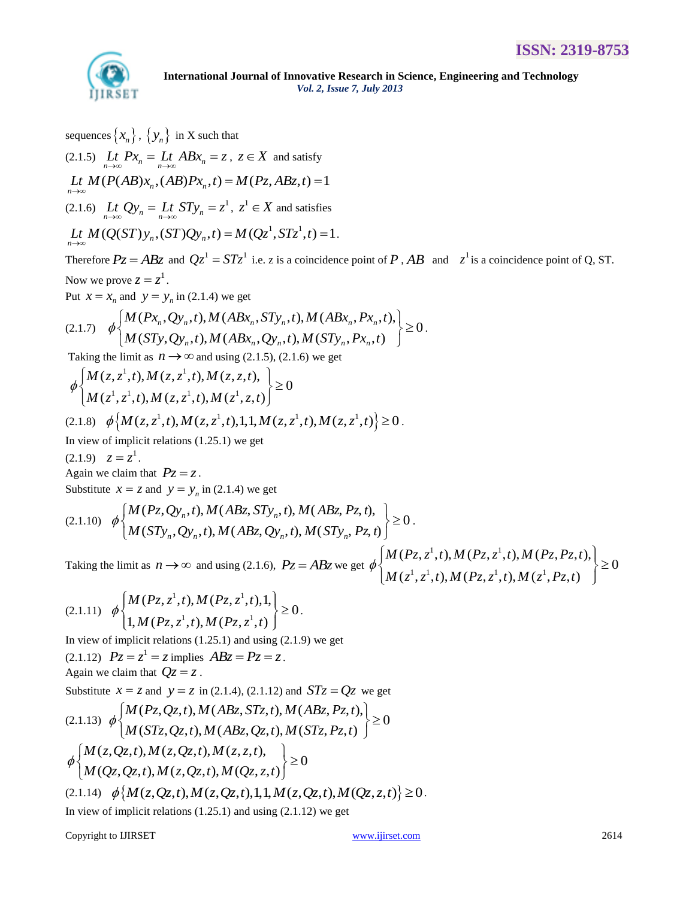

.

sequences  $\left\{x_{n}\right\}$  ,  $\left\{y_{n}\right\}$  in X such that (2.1.5)  $\lim_{n \to \infty} P x_n = \lim_{n \to \infty} AB x_n = z, z \in X$  and satisfy (2.1.5)  $\lim_{n \to \infty} Lt$   $Px_n = \lim_{n \to \infty} ABx_n = z$ ,  $z \in X$  and satisfy<br>  $\lim_{n \to \infty} M(P(AB)x_n, (AB)Px_n, t) = M(Pz, ABz, t) = 1$ (2.1.6)  $\lim_{n \to \infty} Qy_n = \lim_{n \to \infty} STy_n = z^1, z^1 \in X$  and satisfies (2.1.6)  $\lim_{n \to \infty} Lt \, Qy_n = Lt \, STy_n = z^1, \ z^1 \in X$  and satisfies<br>  $\lim_{n \to \infty} M(Q(ST)y_n, (ST)Qy_n, t) = M(Qz^1, STz^1, t) = 1.$ Therefore  $Pz = ABz$  and  $Qz^1 = STz^1$  i.e. z is a coincidence point of P, AB and  $z^1$  is a coincidence point of Q, ST. Now we prove  $z = z^1$ . Put  $x = x_n$  and  $y = y_n$  in (2.1.4) we get

Now we prove 
$$
z = z'
$$
.  
\nPut  $x = x_n$  and  $y = y_n$  in (2.1.4) we get  
\n
$$
(2.1.7) \quad \phi \left\{ \begin{aligned} M(Px_n, Qy_n, t), M(ABx_n, STy_n, t), M(ABx_n, Px_n, t), \\ M(STy, Qy_n, t), M(ABx_n, Qy_n, t), M(STy_n, Px_n, t) \end{aligned} \right\} \ge 0.
$$

Taking the limit as  $n \rightarrow \infty$  and using (2.1.5), (2.1.6) we get

Taking the limit as 
$$
n \to \infty
$$
 and using (2.1.5), (2.1.6) we get  
\n
$$
\phi \begin{cases}\nM(z, z^1, t), M(z, z^1, t), M(z, z, t), \\
M(z^1, z^1, t), M(z, z^1, t), M(z^1, z, t)\n\end{cases} \ge 0
$$
\n(2.1.8)  $\phi \Big\{ M(z, z^1, t), M(z, z^1, t), 1, 1, M(z, z^1, t), M(z, z^1, t)\Big\} \ge 0$ .

$$
(2.1.8) \quad \phi\left\{M(z, z^1, t), M(z, z^1, t), 1, 1, M(z, z^1, t), M(z, z^1, t)\right\} \ge 0
$$

In view of implicit relations (1.25.1) we get

 $(2.1.9) \quad z = z^1.$ 

Again we claim that  $Pz = z$ .

Substitute  $x = z$  and  $y = y_n$  in (2.1.4) we get

Again we claim that 
$$
Pz = z
$$
.  
\nSubstitute  $x = z$  and  $y = y_n$  in (2.1.4) we get  
\n
$$
(2.1.10) \phi \begin{cases} M(Pz, Qy_n, t), M(ABz, STy_n, t), M(ABz, Pz, t), \\ M(STy_n, Qy_n, t), M(ABz, Qy_n, t), M(STy_n, Pz, t) \end{cases} \ge 0.
$$

Taking the limit as  $n \to \infty$  and using (2.1.6),  $P_z = ABz$  we get <sup>1</sup> t)  $M(P_{7.7}^{-1})$  $(2, 2, 1), M(T2, 2, 1), M(T$ <br> $\frac{1}{7}$   $\frac{1}{T}$  t)  $M(P_7 \frac{1}{7}$  t)  $M(\frac{1}{7})$  $(Pz, z<sup>1</sup>, t), M(Pz, z<sup>1</sup>, t), M(Pz, Pz, t),\Big| \ge 0$  $(P_{Z}, z^{1}, t), M(P_{Z}, z^{1}, t), M(P_{Z}, P_{Z}, t)$ <br> $(z^{1}, z^{1}, t), M(P_{Z}, z^{1}, t), M(z^{1}, P_{Z}, t)$  $M(P_{Z}, z^{1}, t), M(P_{Z}, z^{1}, t), M(P_{Z}, P_{Z}, t)$  $M(P_{Z}, z^{1}, t), M(P_{Z}, z^{1}, t), M(P_{Z}, P_{Z},$ <br> $M(z^{1}, z^{1}, t), M(P_{Z}, z^{1}, t), M(z^{1}, P_{Z}, t^{1}, t)$ (t)  $\int$  = 0.<br>  $\phi$   $\left\{ M(Pz, z^1, t), M(Pz, z^1, t), M(Pz, Pz, t), \right\}$   $\geq 0$ <br>  $M(z^1, z^1, t), M(Pz, z^1, t), M(z^1, Pz, t)$  $\left\{\begin{aligned}\nM(Pz, z^1, t), M(Pz, z^1, t), M(Pz, Pz, t), \\
M(z^1, z^1, t), M(Pz, z^1, t), M(z^1, Pz, t)\n\end{aligned}\right\} \ge 0$ 

.

$$
(2.1.11) \quad \phi \begin{cases} M(Pz, z^1, t), M(Pz, z^1, t), 1, \\ 1, M(Pz, z^1, t), M(Pz, z^1, t) \end{cases} \ge 0.
$$

In view of implicit relations (1.25.1) and using (2.1.9) we get (2.1.12)  $Pz = z^1 = z$  implies  $ABz = Pz = z$ .

Again we claim that  $Qz = z$ .

Substitute  $x = z$  and  $y = z$  in (2.1.4), (2.1.12) and  $STz = Qz$  we get

Substitute 
$$
x = z
$$
 and  $y = z$  in (2.1.4), (2.1.12) and  $STz = Qz$  we get  
\n
$$
\left\{\begin{array}{l}\nM(Pz, Qz, t), M(ABz, STz, t), M(ABz, Pz, t), \\
M(STz, Qz, t), M(ABz, Qz, t), M(STz, Pz, t)\n\end{array}\right\} \ge 0
$$
\n
$$
\phi \left\{\begin{array}{l}\nM(z, Qz, t), M(z, Qz, t), M(z, z, t), \\
M(Qz, Qz, t), M(z, Qz, t), M(Qz, z, t)\n\end{array}\right\} \ge 0
$$
\n(2.1.14)  $\phi \left\{M(z, Qz, t), M(z, Qz, t), M(z, Qz, t), M(Qz, z, t)\right\} \ge 0.$ 

In view of implicit relations  $(1.25.1)$  and using  $(2.1.12)$  we get

Copyright to IJIRSET 2614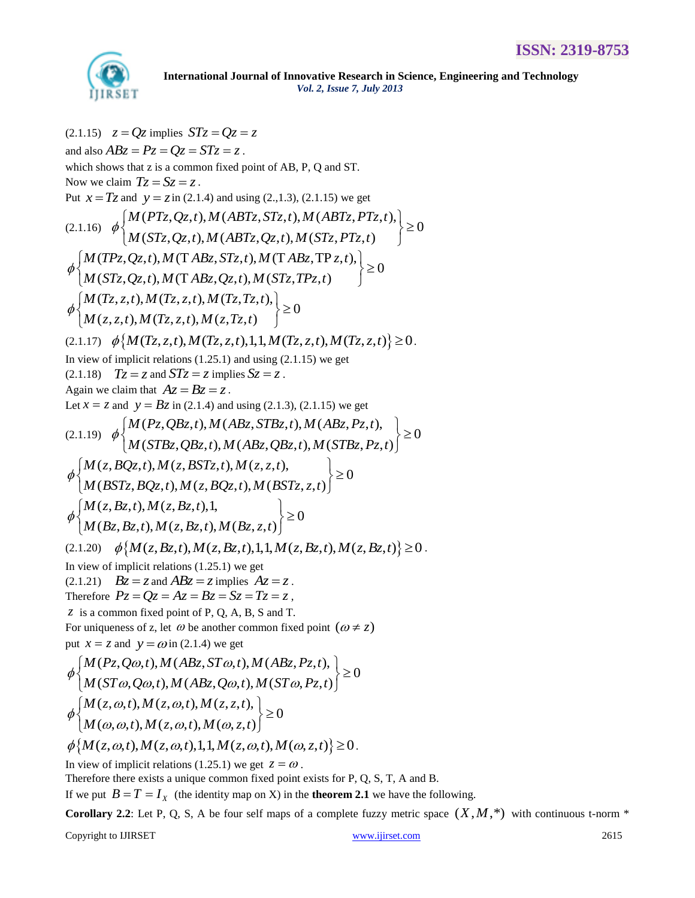

 $(2.1.15)$   $z = Qz$  implies  $STz = Qz = z$ and also  $ABz = Pz = Qz = STz = z$ . which shows that z is a common fixed point of AB, P, Q and ST. Now we claim  $Tz = Sz = z$ . Put  $x = Tz$  and  $y = z$  in (2.1.4) and using (2.,1.3), (2.1.15) we get (2.1.16) ( , , ), ( , , ), ( , , ), 0  $y = z$  in (2.1.4) and using (2.,1.5), (2.1.15) we get<br>(PTz, Qz, t), M (ABTz, STz, t), M (ABTz, PTz<br>(STz, Qz, t), M (ABTz, Qz, t), M (STz, PTz, t) *M*  $Tz = Sz = z$ .<br> *M*  $y = z$  in (2.1.4) and using (2.,1.3), (2.1.15) we get<br> *M* (*PTz*, *Qz*, *t*), *M* (*ABTz*, *STz*, *t*), *M* (*ABTz*, *PTz*, *t M* (*PTz*, *Qz*, *t*), *M* (*ABTz*, *STz*, *t*), *M* (*ABTz*, *PT*<br>*M* (*STz*, *Qz*, *t*), *M* (*ABTz*, *Qz*, *t*), *M* (*STz*, *PTz*, *t*  $\phi$ im  $Tz = Sz = z$ .<br>
and  $y = z$  in (2.1.4) and using (2.,1.3), (2.1.15) we get<br>  $\begin{cases} M(PTz, Qz, t), M(ABTz, STz, t), M(ABTz, PTz, t), \\ M(STz, Qz, t), M(ABTz, Qz, t), M(STz, PTz, t) \end{cases} \ge 0$  $\left\{\begin{array}{l}\nM(PT_z, Q_z, t), M(ABT_z, ST_z, t), M(ABT_z, PT_z, t), \\
M(ST_z, Qz, t), M(ABT_z, Qz, t), M(ST_z, PT_z, t)\n\end{array}\right\} \ge 0$  $\phi \begin{cases} M (f1z, Qz, t), M (AD1z, 51z, t), M (AD1z, 71z, t), M (STz, PTS, t), M (STz, Qz, t), M (ABTz, Qz, t), M (TABz, STz, t), M (TABz, TPz, t), M (TTz, Qz, t), M (TABz, TPS, t), M (TTz, Qz, t), M (TTz, TPS, t), M (TTz, TPS, t), M (TTz, TPS, t), M (TTz, TPS, t), M (TTz, TPS, t), M (TTz, TPS, t), M (TTz, TPS, t), M (TTz, TPS, t), M (TTz, TPS, t), M ($  $(M(S12, Q2, t), M (AD12, Q2, t), M (SL2, T2),$ <br>(TPz, Qz, t), M (T ABz, STz, t), M (T ABz, TP<br>(STz, Qz, t), M (T ABz, Qz, t), M (STz, TPz, t) *M* (*P<sub>12</sub>, Qz<sub>2</sub>, t*)*, M* (*AB1z*, *S1z*, *t*)*, M* (*AB1z*, *P*<br>*M* (*STz*, *Qz<sub>2</sub>, t*)*, M* (*ABTz*, *Qz<sub>2</sub>, t*)*, M* (*STz*, *P*<br>*M* (*TPz*, *Qz*, *t*), *M* (*T ABz*, *STz*, *t*), *M* (*T ABz*, *TPz*, *t M (STz,Qz,t),M (ABTz,Qz,t),M (ST<br>M (TPz,Qz,t),M (T ABz, STz,t),M (T ABz,Tl*)<br>*M (STz,Qz,t),M (T ABz,Qz,t),M (STz,TPz,t*  $\phi$ 1.16)  $\phi$   $\begin{cases} M(T12, Qz, t), M(AB1z, S1z, t), M(AB1z, r1z, t), M(Tz, Qz, t), M(STz, PTz, t) \end{cases} \ge$ <br>  $\begin{cases} M(TPz, Qz, t), M(TABz, STz, t), M(TABz, TPz, t), M(STz, Qz, t), M(TABz, Qz, t), M(STz, TPz, t) \end{cases} \ge 0$  $\left\{ M(TP_{z}, Q_{z}, t), M(TAB_{z}, ST_{z}, t), M(TAB_{z}, TP z, t), M(ST_{z}, Q_{z}, t), M(TAB_{z}, Q_{z}, t), M(ST_{z}, TP_{z}, t) \right\} \geq 0$  $(STz, Qz, t), M (TABz, Qz, t), M(STz, Tz, t)$ <br>  $(Tz, z, t), M(Tz, z, t), M(Tz, Tz, t), \geq 0$  $(T_{Z}, z, t), M(T_{Z}, z, t), M(T_{Z}, T_{Z},$ <br> $(z, z, t), M(T_{Z}, z, t), M(z, T_{Z}, t)$ *M* (*STz*, *Qz*, *t*), *M* (T *ABz*, *Qz*, *t*), *M*<br>*M* (Tz, *z*, *t*), *M* (Tz, *z*, *t*), *M* (Tz, Tz, *t*  $M(T_{Z}, z, t), M(T_{Z}, z, t), M(T_{Z}, T_{Z}, t)$ <br> $M(z, z, t), M(T_{Z}, z, t), M(z, T_{Z}, t)$  $\left\{\begin{array}{l}\mathcal{M}(ST_{Z},Q_{Z},t),\mathcal{M}(TAB_{Z},Q_{Z},t),\mathcal{M}(ST_{Z},TP_{Z})\ \phi\left\{\mathcal{M}(T_{Z},z,t),\mathcal{M}(T_{Z},z,t),\mathcal{M}(T_{Z},T_{Z},t),\right\}\ \phi\left\{\mathcal{M}(z,z,t),\mathcal{M}(T_{Z},z,t),\mathcal{M}(z,T_{Z},t)\right\}\geq0\end{array}\right\}$  $\phi\left\{\begin{aligned} &M(T_{Z}, z, t), M(T_{Z}, z, t), M(T_{Z}, T_{Z}, t), \\ &M(z, z, t), M(T_{Z}, z, t), M(z, T_{Z}, t) \end{aligned}\right\} \ge 0$ <br>(2.1.17)  $\phi\left\{M(T_{Z}, z, t), M(T_{Z}, z, t), 1, 1, M(T_{Z}, z, t), M(T_{Z}, z, t)\right\} \ge 0.$ In view of implicit relations  $(1.25.1)$  and using  $(2.1.15)$  we get  $(2.1.18)$   $Tz = z$  and  $STz = z$  implies  $Sz = z$ . Again we claim that  $Az = Bz = z$ . Let  $x = z$  and  $y = Bz$  in (2.1.4) and using (2.1.3), (2.1.15) we get Again we claim that  $Az = Bz = z$ .<br>
Let  $x = z$  and  $y = Bz$  in (2.1.4) and using (2.1.3), (2.1.15) we get<br>
(2.1.19)  $\phi$   $\left\{\begin{array}{l} M(Pz, QBz,t), M(ABz, STBz,t), M(ABz, Pz,t), \\ M(2,1,19) \end{array}\right\} \ge 0$  $Bz$  in (2.1.4) and using (2.1.5), (2.1.15) we get<br>  $(Pz, QBz,t)$ ,  $M(ABz, STBz,t)$ ,  $M(ABz, Pz,t)$ ,<br>  $(STBz, QBz,t)$ ,  $M(ABz, QBz,t)$ ,  $M(STBz, Pz,t)$ *m* that  $Az = Bz = z$ .<br> *y* =  $Bz$  in (2.1.4) and using (2.1.3), (2.1.15) we get <br> *M* ( $Pz$ ,  $QBz$ , *t*), *M* ( $ABz$ ,  $STBz$ , *t*), *M* ( $ABz$ ,  $Pz$ , *t y* = *Bz* in (2.1.4) and using (2.1.5), (2.1.15) we get<br>*M* (*Pz*, *QBz*, *t*), *M* (*ABz*, *STBz*, *t*), *M* (*ABz*, *Pz*, *t*),<br>*M* (*STBz*, *QBz*, *t*), *M* (*ABz*, *QBz*, *t*), *M* (*STBz*, *Pz*, *t* claim that  $Az = Bz = z$ .<br>
and  $y = Bz$  in (2.1.4) and using (2.1.3), (2.1.15) we get<br>  $\phi \begin{cases} M(Pz, QBz,t), M(ABz, STBz,t), M(ABz, Pz,t), \\ M(STBz, OBz,t), M(ABz, OBz,t), M(STBz, Pz,t) \end{cases} \ge 0$  $\left\{\begin{array}{l}\nM(P_{z}, QB_{z},t), M(AB_{z},STB_{z},t), M(AB_{z},P_{z},t), \\
M(STB_{z},QB_{z},t), M(AB_{z},QB_{z},t), M(STB_{z},P_{z},t)\n\end{array}\right\}\n\ge 0$  $\phi$   $\left\{ M(STBz, QBz,t), M(ABz, QBz,t), M(STB(z, BQz,t), M(z, BSTz,t), M(z, z, t), M(z, Z, t), M(z, Z, t), M(z, Z, t), M(z, Z, t), M(z, Z, t), M(z, Z, t), M(z, Z, t), M(z, Z, t), M(z, Z, t), M(z, Z, t), M(z, Z, t), M(z, Z, t), M(z, Z, t), M(z, Z, t), M(z, Z, t), M(z, Z, t), M(z, Z, t), M(z, Z, t), M(z, Z, t), M(z, Z, t), M(z, Z, t), M(z, Z, t), M(z, Z, t), M(z, Z, t),$  $(z, BQz, t), M(z, BSTz, t), M(z, z, t),$ <br>  $(BSTz, BQz, t), M(z, BQz, t), M(BSTz, z, t)$ *M* (*STBz*, *QBz*, *t*), *M* (*ABz*, *Q*<br>*M* (*z*, *BQz*, *t*), *M* (*z*, *BSTz*, *t*), *M* (*z*, *z*, *t*  $M(z, BQz, t), M(z, BSTz, t), M(z, z, t),$ <br> $M(BSTz, BQz, t), M(z, BQz, t), M(BSTz, z, t))$ (2.1.19)  $\phi$ <br>  $\phi$   $\left\{ M(z, BQz, t), M(ABz, QBz, t), M(STBz, Pz, b) \right\}$ <br>  $\phi$   $\left\{ M(z, BQz, t), M(z, BSTz, t), M(z, z, t), b \right\} \ge 0$  $\left\{\begin{aligned}\n &M(z, BQz, t), M(z, BSTz, t), M(z, z, t), \\
 &M(BSTz, BQz, t), M(z, BQz, t), M(BSTz, z, t)\n \end{aligned}\right\} \ge 0$  $(BSTz, BQz, t), M(z, BQz, t), M(BSTz,$ <br>  $(z, Bz, t), M(z, Bz, t), 1,$ <br>  $\geq 0$  $(z, Bz, t), M(z, Bz, t), 1,$ <br>  $(Bz, Bz, t), M(z, Bz, t), M(Bz, z, t)$ *M* (*BSTz*, *BQz*, *t*), *M* (*z*, *M* (*z*, *Bz*, *t*), *M* (*z*, *Bz*, *t*  $M(z, Bz, t), M(z, Bz, t), 1,$ <br>*M* (*Bz*, *Bz*, *t*), *M* (*z*, *Bz*, *t*), *M* (*Bz*, *z*, *t*  $\psi \left\{ M(BST_{Z}, BQ_{Z}, t), M(z, BQ_{Z}, t), M(BST_{Z}, z, t) \right\}$ <br>  $\phi \left\{ \begin{aligned} &M(z, Bz, t), M(z, Bz, t), 1, \\ &M(Bz, Bz, t), M(z, Bz, t), M(Bz, z, t) \end{aligned} \right\} \ge 0$  $\phi$   $\begin{cases} M(z, Bz, t), M(z, Bz, t), 1, \\ M(Bz, Bz, t), M(z, Bz, t), M(Bz, z, t) \end{cases} \ge 0$ <br>
(2.1.20)  $\phi$  { $M(z, Bz, t), M(z, Bz, t), 1, 1, M(z, Bz, t), M(z, Bz, t)$ }  $\ge 0$ . In view of implicit relations (1.25.1) we get  $(2.1.21)$   $Bz = z$  and  $ABz = z$  implies  $Az = z$ . (2.1.21)  $Bz = z$  and  $ABz = z$  implies  $Az = z$ .<br>Therefore  $Pz = Qz = Az = Bz = Sz = Tz = z$ , *z* is a common fixed point of P, Q, A, B, S and T. For uniqueness of z, let  $\omega$  be another common fixed point  $(\omega \neq z)$ put  $x = z$  and  $y = \omega$  in (2.1.4) we get queness of z, let  $\omega$  be another common fixed point  $(\omega \neq z$  and  $y = \omega$  in (2.1.4) we get<br>  $(Pz, Q\omega, t), M(ABz, ST\omega, t), M(ABz, Pz, t),$ <br>  $\leq 0$ ( $P_{Z}, Q\omega, t$ ),  $M(AB_{Z}, ST\omega, t)$ ,  $M(AB_{Z}, P_{Z}, t)$ ,<br>( $ST\omega, Q\omega, t$ ),  $M(AB_{Z}, Q\omega, t)$ ,  $M(ST\omega, P_{Z}, t)$ uniqueness of z, let  $\omega$  be another common fixed por<br>  $x = z$  and  $y = \omega$  in (2.1.4) we get<br>  $M(Pz, Q\omega, t), M(ABz, ST\omega, t), M(ABz, Pz, t)$ *M*  $(P_z, Q\omega, t)$ , *M*  $(ABz, ST\omega, t)$ , *M*  $(ABz, Pz, t)$ <br>*M*  $(ST\omega, Q\omega, t)$ , *M*  $(ABz, Q\omega, t)$ , *M*  $(ST\omega, Pz, t$ For uniqueness of z, let  $\omega$  be another common<br>put  $x = z$  and  $y = \omega$  in (2.1.4) we get<br> $\begin{cases} M(Pz, Q\omega, t), M(ABz, ST\omega, t), M(\omega) \end{cases}$ or uniqueness of z, let  $\omega$  be another common fixed point  $(\omega \neq z)$ <br>
t  $x = z$  and  $y = \omega$  in (2.1.4) we get<br>  $\left\{ M(Pz, Q\omega, t), M(ABz, ST\omega, t), M(ABz, Pz, t), \atop M(ST\omega, Q\omega, t), M(ABz, Q\omega, t), M(ST\omega, Pz, t) \right\} \ge 0$  $\left\{\begin{array}{l}\nM(Pz,Q\omega,t), M(ABz,ST\omega,t), M(ABz,Pz,t), \\
M(ST\omega,Q\omega,t), M(ABz,Q\omega,t), M(ST\omega,Pz,t)\n\end{array}\right\} \geq 0$  $(ST\omega, Q\omega, t), M(ABz, Q\omega, t), M(Sz, \omega, t), M(z, \omega, t), M(z, \omega, t), M(z, \omega, t), M(\omega, z, t)) \ge 0$  $M(ST\omega, Q\omega, t), M(ABz, Q\omega, t)$ <br> $M(z, \omega, t), M(z, \omega, t), M(z, z, t)$  $M(z, \omega, t), M(z, \omega, t), M(z, z, t)$ <br> $M(\omega, \omega, t), M(z, \omega, t), M(\omega, z, t)$  $\begin{array}{c}\n \sqrt{M(STo,Q\omega,t)}, M(AB;\) \\
 \phi \left\{ M(z,\omega,t), M(z,\omega,t), M(z,\omega,t), M(z,\omega,t), M(z,\omega,t), M(z,\omega,t), M(z,\omega,t), M(z,\omega,t), M(z,\omega,t), M(z,\omega,t), M(z,\omega,t), M(z,\omega,t), M(z,\omega,t), M(z,\omega,t), M(z,\omega,t), M(z,\omega,t), M(z,\omega,t), M(z,\omega,t), M(z,\omega,t), M(z,\omega,t), M(z,\omega,t), M(z,\omega,t), M(z,\omega,t), M(z,\omega,t), M(z,\omega,t), M(z,\omega,t), M(z,\omega,t), M(z,\omega,t), M(z,\omega,t), M(z,\omega,t), M(z,\omega,t), M(z,\$  $\left\{\begin{aligned} &M(ST\omega, Q\omega, t), M(ABz, Q\omega, t), M(ST\omega \\ &\left\{M(z, \omega, t), M(z, \omega, t), M(z, z, t), \atop M(\omega, \omega, t), M(z, \omega, t), M(\omega, z, t)\right\} \geq 0 \end{aligned}\right.$  $\phi\begin{cases} M(z, \omega, t), M(z, \omega, t), M(z, z, t), \\ M(\omega, \omega, t), M(z, \omega, t), M(\omega, z, t) \end{cases} \ge 0$ <br>  $\phi\{M(z, \omega, t), M(z, \omega, t), 1, 1, M(z, \omega, t), M(\omega, z, t)\}\ge 0$ .

In view of implicit relations (1.25.1) we get  $z = \omega$ .

Therefore there exists a unique common fixed point exists for P, Q, S, T, A and B.

If we put  $B = T = I_x$  (the identity map on X) in the **theorem 2.1** we have the following.

**Corollary 2.2**: Let P, Q, S, A be four self maps of a complete fuzzy metric space  $(X, M, *)$  with continuous t-norm  $*$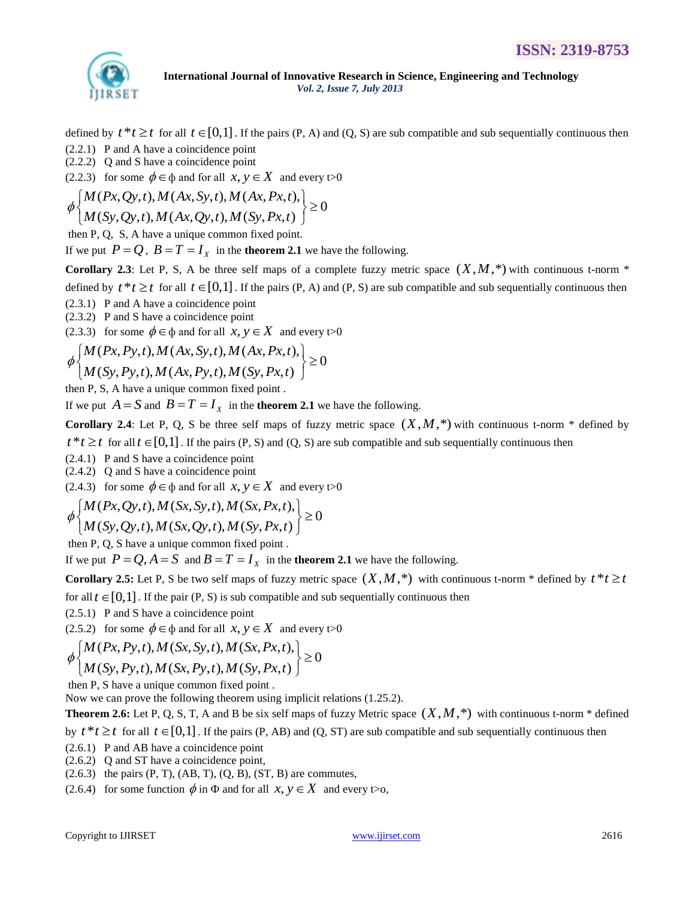

defined by  $t * t \geq t$  for all  $t \in [0,1]$ . If the pairs  $(P, A)$  and  $(Q, S)$  are sub compatible and sub sequentially continuous then

(2.2.1) P and A have a coincidence point

(2.2.2) Q and S have a coincidence point

(2.2.3) for some 
$$
\phi \in \phi
$$
 and for all  $x, y \in X$  and every t>0  
\n
$$
\phi \begin{cases}\nM(Px, Qy, t), M(Ax, Sy, t), M(Ax, Px, t), \\
M(Sy, Qy, t), M(Ax, Qy, t), M(Sy, Px, t)\n\end{cases} \ge 0
$$

then P, Q, S, A have a unique common fixed point*.* 

If we put  $P = Q$ ,  $B = T = I_x$  in the **theorem 2.1** we have the following.

**Corollary 2.3**: Let P, S, A be three self maps of a complete fuzzy metric space  $(X, M, *)$  with continuous t-norm  $*$ 

defined by  $t * t \geq t$  for all  $t \in [0,1]$ . If the pairs (P, A) and (P, S) are sub compatible and sub sequentially continuous then

(2.3.1) P and A have a coincidence point

(2.3.2) P and S have a coincidence point

(2.3.2) T and S have a confidence point  
\n(2.3.3) for some 
$$
\phi \in \phi
$$
 and for all  $x, y \in X$  and every t>0  
\n
$$
\phi \begin{cases}\nM(Px, Py, t), M(Ax, Sy, t), M(Ax, Px, t), \\
M(Sy, Py, t), M(Ax, Py, t), M(Sy, Px, t)\n\end{cases} \ge 0
$$

then P, S, A have a unique common fixed point .

If we put  $A = S$  and  $B = T = I_x$  in the **theorem 2.1** we have the following.

**Corollary 2.4**: Let P, Q, S be three self maps of fuzzy metric space  $(X, M, *)$  with continuous t-norm  $*$  defined by

 $t * t \geq t$  for all  $t \in [0,1]$ . If the pairs (P, S) and (Q, S) are sub compatible and sub sequentially continuous then

(2.4.1) P and S have a coincidence point

(2.4.2) Q and S have a coincidence point

(2.4.3) for some 
$$
\phi \in \phi
$$
 and for all  $x, y \in X$  and every t>0  
\n
$$
\phi \begin{cases}\nM(Px, Qy, t), M(Sx, Sy, t), M(Sx, Px, t), \\
M(Sy, Qy, t), M(Sx, Qy, t), M(Sy, Px, t)\n\end{cases} \ge 0
$$

then P, Q, S have a unique common fixed point .

If we put  $P = Q$ ,  $A = S$  and  $B = T = I_x$  in the **theorem 2.1** we have the following.

**Corollary 2.5:** Let P, S be two self maps of fuzzy metric space  $(X, M, *)$  with continuous t-norm  $*$  defined by  $t * t \geq t$ 

for all  $t \in [0,1]$ . If the pair  $(P, S)$  is sub compatible and sub sequentially continuous then

(2.5.1) P and S have a coincidence point

(2.5.2) for some 
$$
\phi \in \phi
$$
 and for all  $x, y \in X$  and every  $t > 0$   
\n
$$
\phi \begin{cases}\nM(Px, Py, t), M(Sx, Sy, t), M(Sx, Px, t), \\
M(Sy, Py, t), M(Sx, Py, t), M(Sy, Px, t)\n\end{cases} \ge 0
$$

then P, S have a unique common fixed point .

Now we can prove the following theorem using implicit relations (1.25.2).

**Theorem 2.6:** Let P, Q, S, T, A and B be six self maps of fuzzy Metric space  $(X, M, *)$  with continuous t-norm  $*$  defined

by  $t * t \geq t$  for all  $t \in [0,1]$ . If the pairs (P, AB) and (Q, ST) are sub compatible and sub sequentially continuous then

- (2.6.1) P and AB have a coincidence point
- (2.6.2) Q and ST have a coincidence point,
- $(2.6.3)$  the pairs  $(P, T)$ ,  $(AB, T)$ ,  $(Q, B)$ ,  $(ST, B)$  are commutes,
- (2.6.4) for some function  $\phi$  in  $\Phi$  and for all  $x, y \in X$  and every t o,